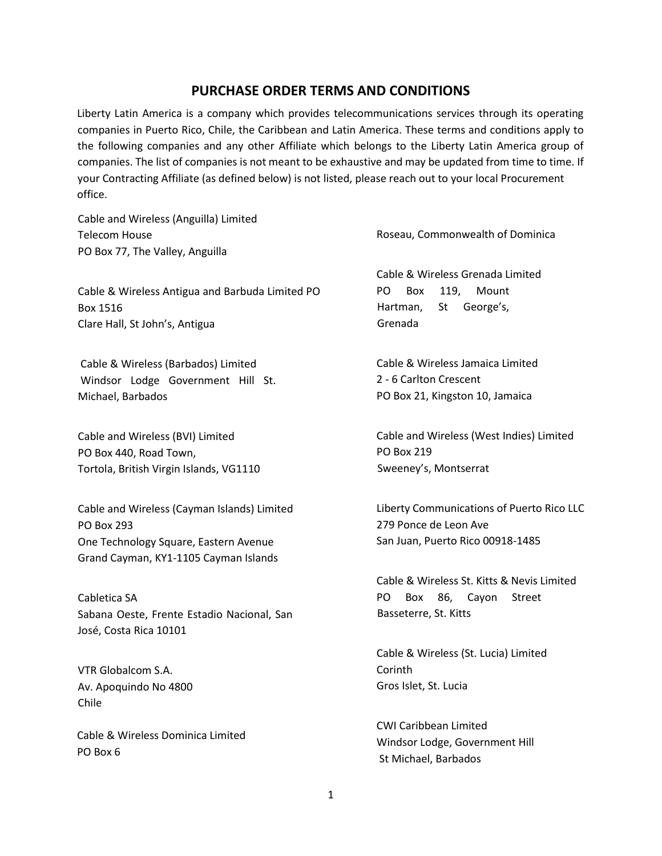## **PURCHASE ORDER TERMS AND CONDITIONS**

Liberty Latin America is a company which provides telecommunications services through its operating companies in Puerto Rico, Chile, the Caribbean and Latin America. These terms and conditions apply to the following companies and any other Affiliate which belongs to the Liberty Latin America group of companies. The list of companies is not meant to be exhaustive and may be updated from time to time. If your Contracting Affiliate (as defined below) is not listed, please reach out to your local Procurement office.

Cable and Wireless (Anguilla) Limited Telecom House PO Box 77, The Valley, Anguilla

Cable & Wireless Antigua and Barbuda Limited PO Box 1516 Clare Hall, St John's, Antigua

Cable & Wireless (Barbados) Limited Windsor Lodge Government Hill St. Michael, Barbados

Cable and Wireless (BVI) Limited PO Box 440, Road Town, Tortola, British Virgin Islands, VG1110

Cable and Wireless (Cayman Islands) Limited PO Box 293 One Technology Square, Eastern Avenue Grand Cayman, KY1-1105 Cayman Islands

Cabletica SA Sabana Oeste, Frente Estadio Nacional, San José, Costa Rica 10101

VTR Globalcom S.A. Av. Apoquindo No 4800 Chile

Cable & Wireless Dominica Limited PO Box 6

Roseau, Commonwealth of Dominica

Cable & Wireless Grenada Limited PO Box 119, Mount Hartman, St George's, Grenada

Cable & Wireless Jamaica Limited 2 - 6 Carlton Crescent PO Box 21, Kingston 10, Jamaica

Cable and Wireless (West Indies) Limited PO Box 219 Sweeney's, Montserrat

Liberty Communications of Puerto Rico LLC 279 Ponce de Leon Ave San Juan, Puerto Rico 00918-1485

Cable & Wireless St. Kitts & Nevis Limited PO Box 86, Cayon Street Basseterre, St. Kitts

Cable & Wireless (St. Lucia) Limited Corinth Gros Islet, St. Lucia

CWI Caribbean Limited Windsor Lodge, Government Hill St Michael, Barbados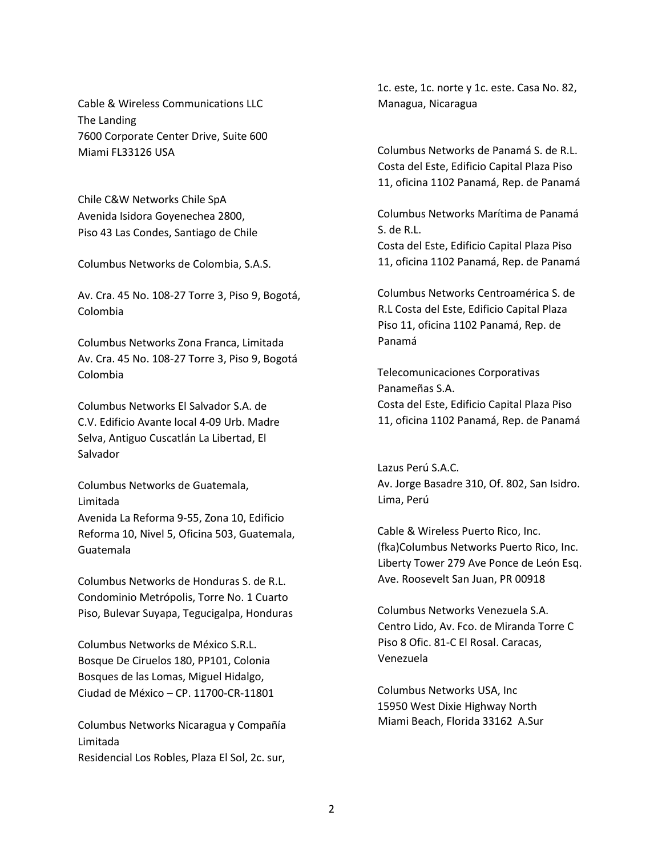Cable & Wireless Communications LLC The Landing 7600 Corporate Center Drive, Suite 600 Miami FL33126 USA

Chile C&W Networks Chile SpA Avenida Isidora Goyenechea 2800, Piso 43 Las Condes, Santiago de Chile

Columbus Networks de Colombia, S.A.S.

Av. Cra. 45 No. 108-27 Torre 3, Piso 9, Bogotá, Colombia

Columbus Networks Zona Franca, Limitada Av. Cra. 45 No. 108-27 Torre 3, Piso 9, Bogotá Colombia

Columbus Networks El Salvador S.A. de C.V. Edificio Avante local 4-09 Urb. Madre Selva, Antiguo Cuscatlán La Libertad, El Salvador

Columbus Networks de Guatemala, Limitada Avenida La Reforma 9-55, Zona 10, Edificio Reforma 10, Nivel 5, Oficina 503, Guatemala, Guatemala

Columbus Networks de Honduras S. de R.L. Condominio Metrópolis, Torre No. 1 Cuarto Piso, Bulevar Suyapa, Tegucigalpa, Honduras

Columbus Networks de México S.R.L. Bosque De Ciruelos 180, PP101, Colonia Bosques de las Lomas, Miguel Hidalgo, Ciudad de México – CP. 11700-CR-11801

Columbus Networks Nicaragua y Compañía Limitada Residencial Los Robles, Plaza El Sol, 2c. sur,

1c. este, 1c. norte y 1c. este. Casa No. 82, Managua, Nicaragua

Columbus Networks de Panamá S. de R.L. Costa del Este, Edificio Capital Plaza Piso 11, oficina 1102 Panamá, Rep. de Panamá

Columbus Networks Marítima de Panamá S. de R.L.

Costa del Este, Edificio Capital Plaza Piso 11, oficina 1102 Panamá, Rep. de Panamá

Columbus Networks Centroamérica S. de R.L Costa del Este, Edificio Capital Plaza Piso 11, oficina 1102 Panamá, Rep. de Panamá

Telecomunicaciones Corporativas Panameñas S.A. Costa del Este, Edificio Capital Plaza Piso 11, oficina 1102 Panamá, Rep. de Panamá

Lazus Perú S.A.C. Av. Jorge Basadre 310, Of. 802, San Isidro. Lima, Perú

Cable & Wireless Puerto Rico, Inc. (fka)Columbus Networks Puerto Rico, Inc. Liberty Tower 279 Ave Ponce de León Esq. Ave. Roosevelt San Juan, PR 00918

Columbus Networks Venezuela S.A. Centro Lido, Av. Fco. de Miranda Torre C Piso 8 Ofic. 81-C El Rosal. Caracas, Venezuela

Columbus Networks USA, Inc 15950 West Dixie Highway North Miami Beach, Florida 33162 A.Sur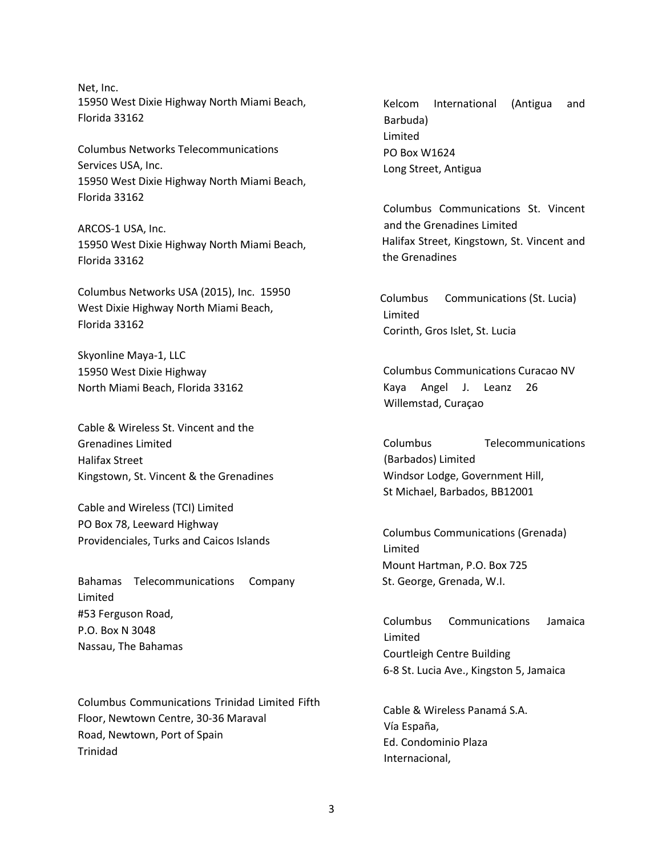Net, Inc. 15950 West Dixie Highway North Miami Beach, Florida 33162

Columbus Networks Telecommunications Services USA, Inc. 15950 West Dixie Highway North Miami Beach, Florida 33162

ARCOS-1 USA, Inc. 15950 West Dixie Highway North Miami Beach, Florida 33162

Columbus Networks USA (2015), Inc. 15950 West Dixie Highway North Miami Beach, Florida 33162

Skyonline Maya-1, LLC 15950 West Dixie Highway North Miami Beach, Florida 33162

Cable & Wireless St. Vincent and the Grenadines Limited Halifax Street Kingstown, St. Vincent & the Grenadines

Cable and Wireless (TCI) Limited PO Box 78, Leeward Highway Providenciales, Turks and Caicos Islands

Bahamas Telecommunications Company Limited #53 Ferguson Road, P.O. Box N 3048 Nassau, The Bahamas

Columbus Communications Trinidad Limited Fifth Floor, Newtown Centre, 30-36 Maraval Road, Newtown, Port of Spain Trinidad

Kelcom International (Antigua and Barbuda) Limited PO Box W1624 Long Street, Antigua

Columbus Communications St. Vincent and the Grenadines Limited Halifax Street, Kingstown, St. Vincent and the Grenadines

Columbus Communications (St. Lucia) Limited Corinth, Gros Islet, St. Lucia

Columbus Communications Curacao NV Kaya Angel J. Leanz 26 Willemstad, Curaçao

Columbus Telecommunications (Barbados) Limited Windsor Lodge, Government Hill, St Michael, Barbados, BB12001

 Columbus Communications (Grenada) Limited Mount Hartman, P.O. Box 725 St. George, Grenada, W.I.

Columbus Communications Jamaica Limited Courtleigh Centre Building 6-8 St. Lucia Ave., Kingston 5, Jamaica

Cable & Wireless Panamá S.A. Vía España, Ed. Condominio Plaza Internacional,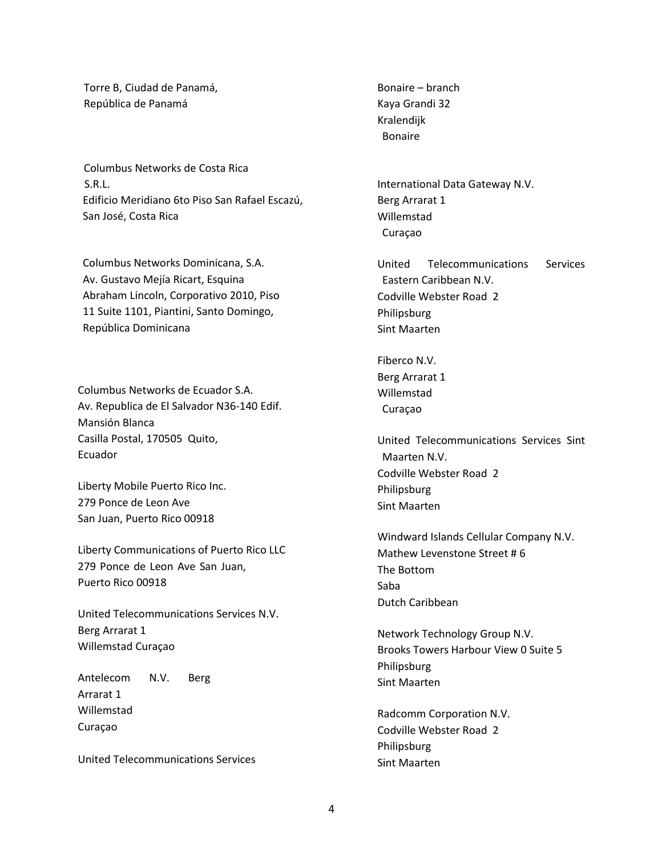Torre B, Ciudad de Panamá, República de Panamá

Columbus Networks de Costa Rica S.R.L. Edificio Meridiano 6to Piso San Rafael Escazú, San José, Costa Rica

Columbus Networks Dominicana, S.A. Av. Gustavo Mejía Ricart, Esquina Abraham Lincoln, Corporativo 2010, Piso 11 Suite 1101, Piantini, Santo Domingo, República Dominicana

Columbus Networks de Ecuador S.A. Av. Republica de El Salvador N36-140 Edif. Mansión Blanca Casilla Postal, 170505 Quito, Ecuador

Liberty Mobile Puerto Rico Inc. 279 Ponce de Leon Ave San Juan, Puerto Rico 00918

Liberty Communications of Puerto Rico LLC 279 Ponce de Leon Ave San Juan, Puerto Rico 00918

United Telecommunications Services N.V. Berg Arrarat 1 Willemstad Curaçao

Antelecom N.V. Berg Arrarat 1 Willemstad Curaçao

United Telecommunications Services

Bonaire – branch Kaya Grandi 32 Kralendijk Bonaire

International Data Gateway N.V. Berg Arrarat 1 Willemstad Curaçao

United Telecommunications Services Eastern Caribbean N.V. Codville Webster Road 2 Philipsburg Sint Maarten

Fiberco N.V. Berg Arrarat 1 Willemstad Curaçao

United Telecommunications Services Sint Maarten N.V. Codville Webster Road 2 Philipsburg Sint Maarten

Windward Islands Cellular Company N.V. Mathew Levenstone Street # 6 The Bottom Saba Dutch Caribbean

Network Technology Group N.V. Brooks Towers Harbour View 0 Suite 5 Philipsburg Sint Maarten

Radcomm Corporation N.V. Codville Webster Road 2 Philipsburg Sint Maarten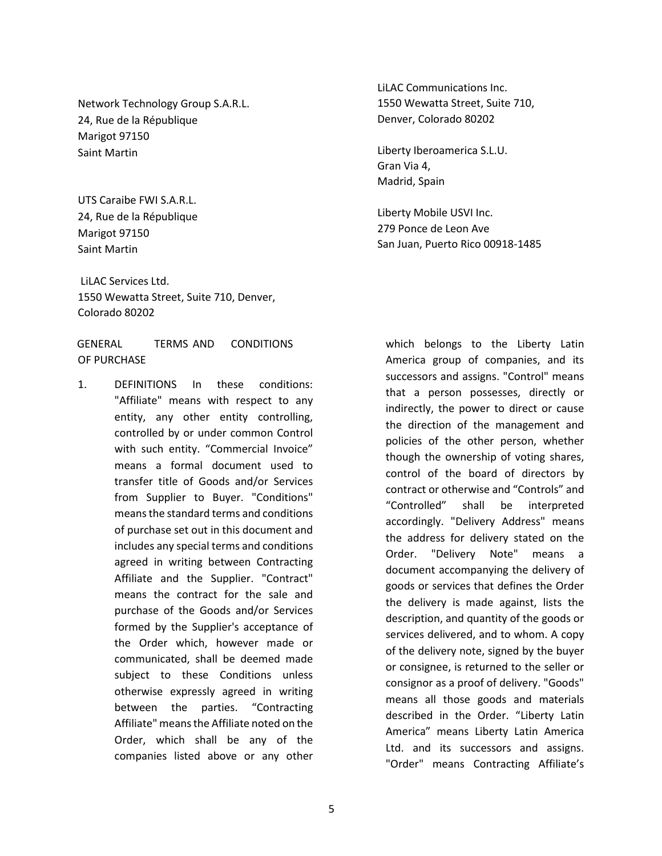Network Technology Group S.A.R.L. 24, Rue de la République Marigot 97150 Saint Martin

UTS Caraibe FWI S.A.R.L. 24, Rue de la République Marigot 97150 Saint Martin

LiLAC Services Ltd. 1550 Wewatta Street, Suite 710, Denver, Colorado 80202

GENERAL TERMS AND CONDITIONS OF PURCHASE

1. DEFINITIONS In these conditions: "Affiliate" means with respect to any entity, any other entity controlling, controlled by or under common Control with such entity. "Commercial Invoice" means a formal document used to transfer title of Goods and/or Services from Supplier to Buyer. "Conditions" means the standard terms and conditions of purchase set out in this document and includes any special terms and conditions agreed in writing between Contracting Affiliate and the Supplier. "Contract" means the contract for the sale and purchase of the Goods and/or Services formed by the Supplier's acceptance of the Order which, however made or communicated, shall be deemed made subject to these Conditions unless otherwise expressly agreed in writing between the parties. "Contracting Affiliate" means the Affiliate noted on the Order, which shall be any of the companies listed above or any other

LiLAC Communications Inc. 1550 Wewatta Street, Suite 710, Denver, Colorado 80202

Liberty Iberoamerica S.L.U. Gran Via 4, Madrid, Spain

Liberty Mobile USVI Inc. 279 Ponce de Leon Ave San Juan, Puerto Rico 00918-1485

which belongs to the Liberty Latin America group of companies, and its successors and assigns. "Control" means that a person possesses, directly or indirectly, the power to direct or cause the direction of the management and policies of the other person, whether though the ownership of voting shares, control of the board of directors by contract or otherwise and "Controls" and "Controlled" shall be interpreted accordingly. "Delivery Address" means the address for delivery stated on the Order. "Delivery Note" means a document accompanying the delivery of goods or services that defines the Order the delivery is made against, lists the description, and quantity of the goods or services delivered, and to whom. A copy of the delivery note, signed by the buyer or consignee, is returned to the seller or consignor as a proof of delivery. "Goods" means all those goods and materials described in the Order. "Liberty Latin America" means Liberty Latin America Ltd. and its successors and assigns. "Order" means Contracting Affiliate's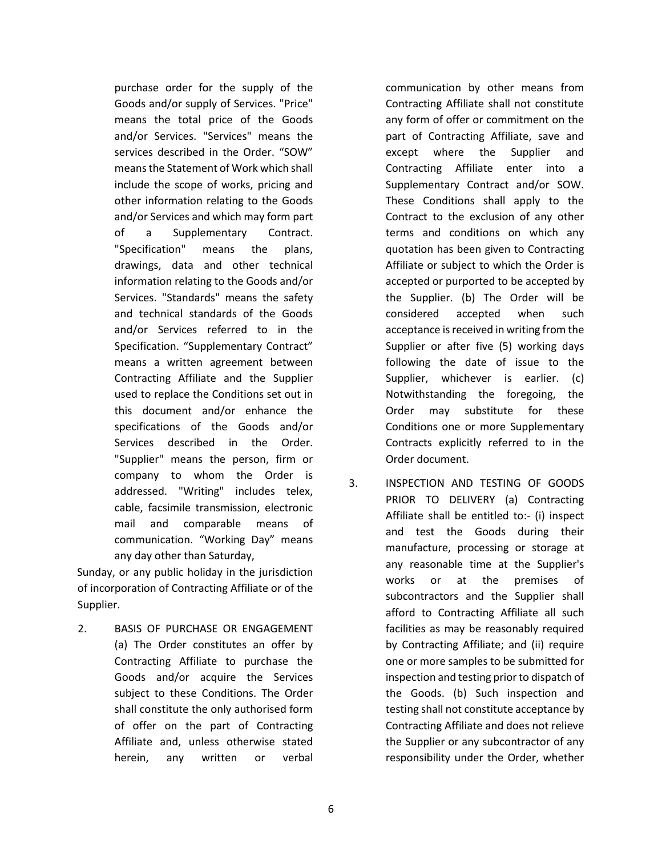purchase order for the supply of the Goods and/or supply of Services. "Price" means the total price of the Goods and/or Services. "Services" means the services described in the Order. "SOW" means the Statement of Work which shall include the scope of works, pricing and other information relating to the Goods and/or Services and which may form part of a Supplementary Contract. "Specification" means the plans, drawings, data and other technical information relating to the Goods and/or Services. "Standards" means the safety and technical standards of the Goods and/or Services referred to in the Specification. "Supplementary Contract" means a written agreement between Contracting Affiliate and the Supplier used to replace the Conditions set out in this document and/or enhance the specifications of the Goods and/or Services described in the Order. "Supplier" means the person, firm or company to whom the Order is addressed. "Writing" includes telex, cable, facsimile transmission, electronic mail and comparable means of communication. "Working Day" means any day other than Saturday,

Sunday, or any public holiday in the jurisdiction of incorporation of Contracting Affiliate or of the Supplier.

2. BASIS OF PURCHASE OR ENGAGEMENT (a) The Order constitutes an offer by Contracting Affiliate to purchase the Goods and/or acquire the Services subject to these Conditions. The Order shall constitute the only authorised form of offer on the part of Contracting Affiliate and, unless otherwise stated herein, any written or verbal

communication by other means from Contracting Affiliate shall not constitute any form of offer or commitment on the part of Contracting Affiliate, save and except where the Supplier and Contracting Affiliate enter into a Supplementary Contract and/or SOW. These Conditions shall apply to the Contract to the exclusion of any other terms and conditions on which any quotation has been given to Contracting Affiliate or subject to which the Order is accepted or purported to be accepted by the Supplier. (b) The Order will be considered accepted when such acceptance is received in writing from the Supplier or after five (5) working days following the date of issue to the Supplier, whichever is earlier. (c) Notwithstanding the foregoing, the Order may substitute for these Conditions one or more Supplementary Contracts explicitly referred to in the Order document.

3. INSPECTION AND TESTING OF GOODS PRIOR TO DELIVERY (a) Contracting Affiliate shall be entitled to:- (i) inspect and test the Goods during their manufacture, processing or storage at any reasonable time at the Supplier's works or at the premises of subcontractors and the Supplier shall afford to Contracting Affiliate all such facilities as may be reasonably required by Contracting Affiliate; and (ii) require one or more samples to be submitted for inspection and testing prior to dispatch of the Goods. (b) Such inspection and testing shall not constitute acceptance by Contracting Affiliate and does not relieve the Supplier or any subcontractor of any responsibility under the Order, whether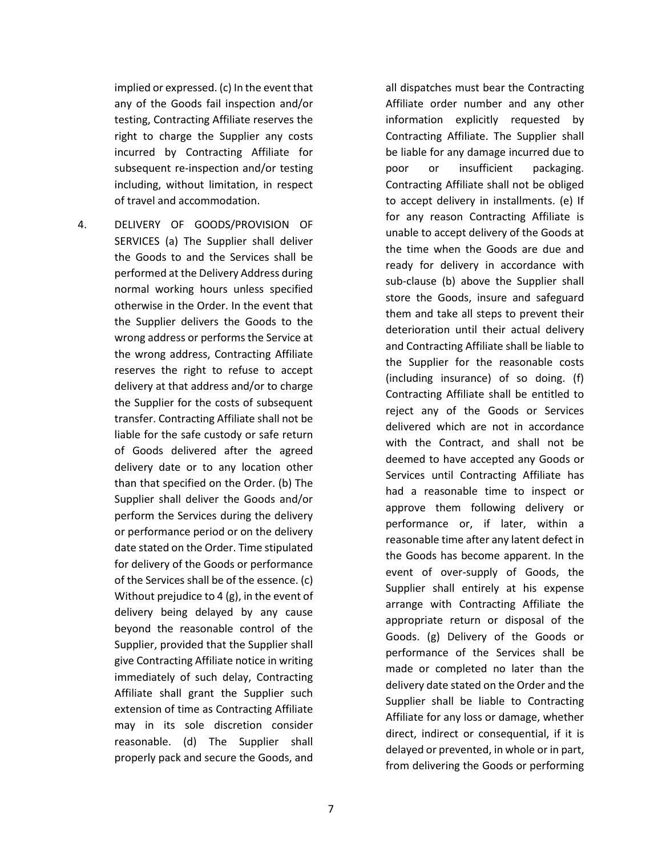implied or expressed. (c) In the event that any of the Goods fail inspection and/or testing, Contracting Affiliate reserves the right to charge the Supplier any costs incurred by Contracting Affiliate for subsequent re-inspection and/or testing including, without limitation, in respect of travel and accommodation.

4. DELIVERY OF GOODS/PROVISION OF SERVICES (a) The Supplier shall deliver the Goods to and the Services shall be performed at the Delivery Address during normal working hours unless specified otherwise in the Order. In the event that the Supplier delivers the Goods to the wrong address or performs the Service at the wrong address, Contracting Affiliate reserves the right to refuse to accept delivery at that address and/or to charge the Supplier for the costs of subsequent transfer. Contracting Affiliate shall not be liable for the safe custody or safe return of Goods delivered after the agreed delivery date or to any location other than that specified on the Order. (b) The Supplier shall deliver the Goods and/or perform the Services during the delivery or performance period or on the delivery date stated on the Order. Time stipulated for delivery of the Goods or performance of the Services shall be of the essence. (c) Without prejudice to 4 (g), in the event of delivery being delayed by any cause beyond the reasonable control of the Supplier, provided that the Supplier shall give Contracting Affiliate notice in writing immediately of such delay, Contracting Affiliate shall grant the Supplier such extension of time as Contracting Affiliate may in its sole discretion consider reasonable. (d) The Supplier shall properly pack and secure the Goods, and

all dispatches must bear the Contracting Affiliate order number and any other information explicitly requested by Contracting Affiliate. The Supplier shall be liable for any damage incurred due to poor or insufficient packaging. Contracting Affiliate shall not be obliged to accept delivery in installments. (e) If for any reason Contracting Affiliate is unable to accept delivery of the Goods at the time when the Goods are due and ready for delivery in accordance with sub-clause (b) above the Supplier shall store the Goods, insure and safeguard them and take all steps to prevent their deterioration until their actual delivery and Contracting Affiliate shall be liable to the Supplier for the reasonable costs (including insurance) of so doing. (f) Contracting Affiliate shall be entitled to reject any of the Goods or Services delivered which are not in accordance with the Contract, and shall not be deemed to have accepted any Goods or Services until Contracting Affiliate has had a reasonable time to inspect or approve them following delivery or performance or, if later, within a reasonable time after any latent defect in the Goods has become apparent. In the event of over-supply of Goods, the Supplier shall entirely at his expense arrange with Contracting Affiliate the appropriate return or disposal of the Goods. (g) Delivery of the Goods or performance of the Services shall be made or completed no later than the delivery date stated on the Order and the Supplier shall be liable to Contracting Affiliate for any loss or damage, whether direct, indirect or consequential, if it is delayed or prevented, in whole or in part, from delivering the Goods or performing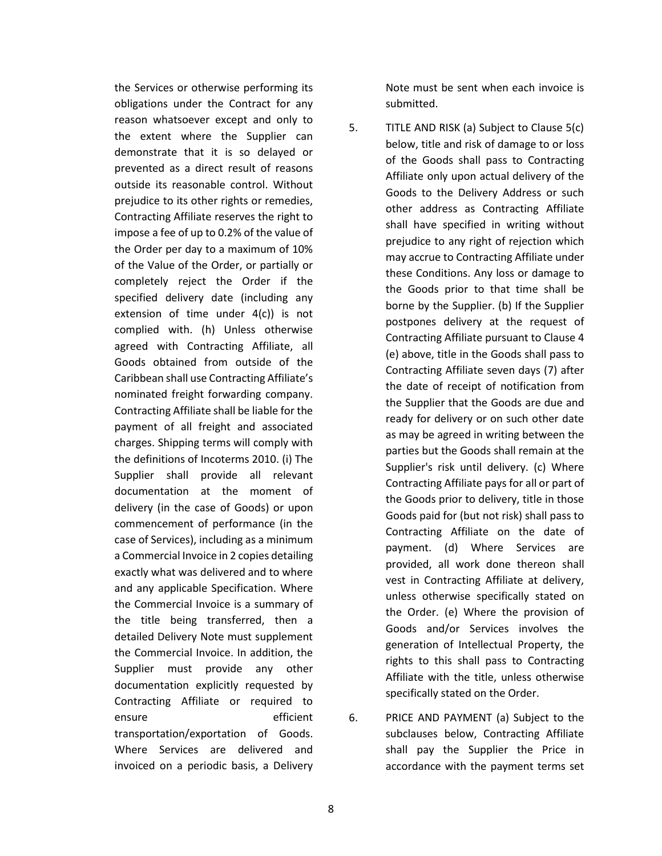the Services or otherwise performing its obligations under the Contract for any reason whatsoever except and only to the extent where the Supplier can demonstrate that it is so delayed or prevented as a direct result of reasons outside its reasonable control. Without prejudice to its other rights or remedies, Contracting Affiliate reserves the right to impose a fee of up to 0.2% of the value of the Order per day to a maximum of 10% of the Value of the Order, or partially or completely reject the Order if the specified delivery date (including any extension of time under 4(c)) is not complied with. (h) Unless otherwise agreed with Contracting Affiliate, all Goods obtained from outside of the Caribbean shall use Contracting Affiliate's nominated freight forwarding company. Contracting Affiliate shall be liable for the payment of all freight and associated charges. Shipping terms will comply with the definitions of Incoterms 2010. (i) The Supplier shall provide all relevant documentation at the moment of delivery (in the case of Goods) or upon commencement of performance (in the case of Services), including as a minimum a Commercial Invoice in 2 copies detailing exactly what was delivered and to where and any applicable Specification. Where the Commercial Invoice is a summary of the title being transferred, then a detailed Delivery Note must supplement the Commercial Invoice. In addition, the Supplier must provide any other documentation explicitly requested by Contracting Affiliate or required to ensure efficient transportation/exportation of Goods. Where Services are delivered and invoiced on a periodic basis, a Delivery

Note must be sent when each invoice is submitted.

- 5. TITLE AND RISK (a) Subject to Clause 5(c) below, title and risk of damage to or loss of the Goods shall pass to Contracting Affiliate only upon actual delivery of the Goods to the Delivery Address or such other address as Contracting Affiliate shall have specified in writing without prejudice to any right of rejection which may accrue to Contracting Affiliate under these Conditions. Any loss or damage to the Goods prior to that time shall be borne by the Supplier. (b) If the Supplier postpones delivery at the request of Contracting Affiliate pursuant to Clause 4 (e) above, title in the Goods shall pass to Contracting Affiliate seven days (7) after the date of receipt of notification from the Supplier that the Goods are due and ready for delivery or on such other date as may be agreed in writing between the parties but the Goods shall remain at the Supplier's risk until delivery. (c) Where Contracting Affiliate pays for all or part of the Goods prior to delivery, title in those Goods paid for (but not risk) shall pass to Contracting Affiliate on the date of payment. (d) Where Services are provided, all work done thereon shall vest in Contracting Affiliate at delivery, unless otherwise specifically stated on the Order. (e) Where the provision of Goods and/or Services involves the generation of Intellectual Property, the rights to this shall pass to Contracting Affiliate with the title, unless otherwise specifically stated on the Order.
- 6. PRICE AND PAYMENT (a) Subject to the subclauses below, Contracting Affiliate shall pay the Supplier the Price in accordance with the payment terms set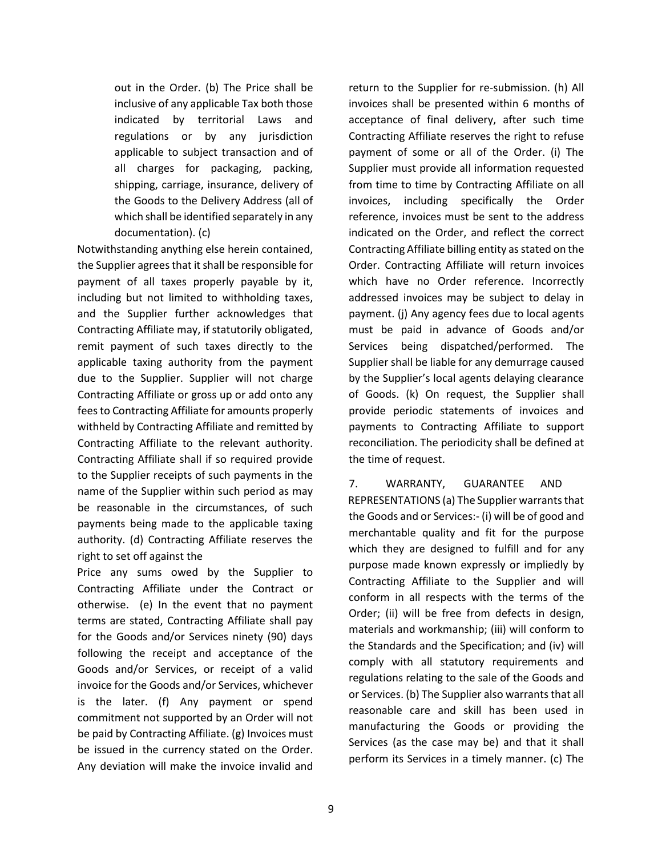out in the Order. (b) The Price shall be inclusive of any applicable Tax both those indicated by territorial Laws and regulations or by any jurisdiction applicable to subject transaction and of all charges for packaging, packing, shipping, carriage, insurance, delivery of the Goods to the Delivery Address (all of which shall be identified separately in any documentation). (c)

Notwithstanding anything else herein contained, the Supplier agrees that it shall be responsible for payment of all taxes properly payable by it, including but not limited to withholding taxes, and the Supplier further acknowledges that Contracting Affiliate may, if statutorily obligated, remit payment of such taxes directly to the applicable taxing authority from the payment due to the Supplier. Supplier will not charge Contracting Affiliate or gross up or add onto any fees to Contracting Affiliate for amounts properly withheld by Contracting Affiliate and remitted by Contracting Affiliate to the relevant authority. Contracting Affiliate shall if so required provide to the Supplier receipts of such payments in the name of the Supplier within such period as may be reasonable in the circumstances, of such payments being made to the applicable taxing authority. (d) Contracting Affiliate reserves the right to set off against the

Price any sums owed by the Supplier to Contracting Affiliate under the Contract or otherwise. (e) In the event that no payment terms are stated, Contracting Affiliate shall pay for the Goods and/or Services ninety (90) days following the receipt and acceptance of the Goods and/or Services, or receipt of a valid invoice for the Goods and/or Services, whichever is the later. (f) Any payment or spend commitment not supported by an Order will not be paid by Contracting Affiliate. (g) Invoices must be issued in the currency stated on the Order. Any deviation will make the invoice invalid and

return to the Supplier for re-submission. (h) All invoices shall be presented within 6 months of acceptance of final delivery, after such time Contracting Affiliate reserves the right to refuse payment of some or all of the Order. (i) The Supplier must provide all information requested from time to time by Contracting Affiliate on all invoices, including specifically the Order reference, invoices must be sent to the address indicated on the Order, and reflect the correct Contracting Affiliate billing entity as stated on the Order. Contracting Affiliate will return invoices which have no Order reference. Incorrectly addressed invoices may be subject to delay in payment. (j) Any agency fees due to local agents must be paid in advance of Goods and/or Services being dispatched/performed. The Supplier shall be liable for any demurrage caused by the Supplier's local agents delaying clearance of Goods. (k) On request, the Supplier shall provide periodic statements of invoices and payments to Contracting Affiliate to support reconciliation. The periodicity shall be defined at the time of request.

7. WARRANTY, GUARANTEE AND REPRESENTATIONS (a) The Supplier warrants that the Goods and or Services:- (i) will be of good and merchantable quality and fit for the purpose which they are designed to fulfill and for any purpose made known expressly or impliedly by Contracting Affiliate to the Supplier and will conform in all respects with the terms of the Order; (ii) will be free from defects in design, materials and workmanship; (iii) will conform to the Standards and the Specification; and (iv) will comply with all statutory requirements and regulations relating to the sale of the Goods and or Services. (b) The Supplier also warrants that all reasonable care and skill has been used in manufacturing the Goods or providing the Services (as the case may be) and that it shall perform its Services in a timely manner. (c) The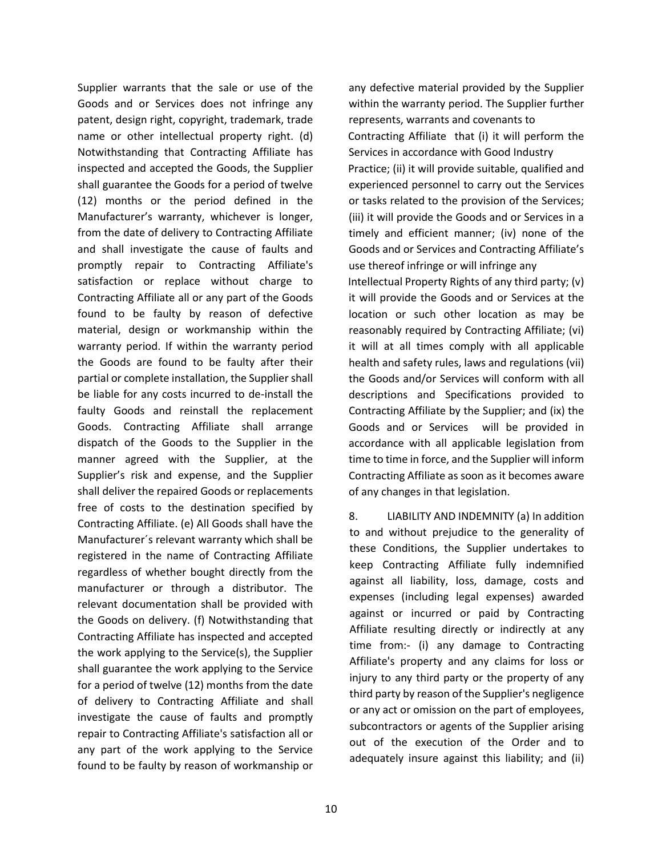Supplier warrants that the sale or use of the Goods and or Services does not infringe any patent, design right, copyright, trademark, trade name or other intellectual property right. (d) Notwithstanding that Contracting Affiliate has inspected and accepted the Goods, the Supplier shall guarantee the Goods for a period of twelve (12) months or the period defined in the Manufacturer's warranty, whichever is longer, from the date of delivery to Contracting Affiliate and shall investigate the cause of faults and promptly repair to Contracting Affiliate's satisfaction or replace without charge to Contracting Affiliate all or any part of the Goods found to be faulty by reason of defective material, design or workmanship within the warranty period. If within the warranty period the Goods are found to be faulty after their partial or complete installation, the Supplier shall be liable for any costs incurred to de-install the faulty Goods and reinstall the replacement Goods. Contracting Affiliate shall arrange dispatch of the Goods to the Supplier in the manner agreed with the Supplier, at the Supplier's risk and expense, and the Supplier shall deliver the repaired Goods or replacements free of costs to the destination specified by Contracting Affiliate. (e) All Goods shall have the Manufacturer´s relevant warranty which shall be registered in the name of Contracting Affiliate regardless of whether bought directly from the manufacturer or through a distributor. The relevant documentation shall be provided with the Goods on delivery. (f) Notwithstanding that Contracting Affiliate has inspected and accepted the work applying to the Service(s), the Supplier shall guarantee the work applying to the Service for a period of twelve (12) months from the date of delivery to Contracting Affiliate and shall investigate the cause of faults and promptly repair to Contracting Affiliate's satisfaction all or any part of the work applying to the Service found to be faulty by reason of workmanship or

any defective material provided by the Supplier within the warranty period. The Supplier further represents, warrants and covenants to Contracting Affiliate that (i) it will perform the Services in accordance with Good Industry Practice; (ii) it will provide suitable, qualified and experienced personnel to carry out the Services or tasks related to the provision of the Services; (iii) it will provide the Goods and or Services in a timely and efficient manner; (iv) none of the Goods and or Services and Contracting Affiliate's use thereof infringe or will infringe any Intellectual Property Rights of any third party; (v) it will provide the Goods and or Services at the location or such other location as may be reasonably required by Contracting Affiliate; (vi) it will at all times comply with all applicable health and safety rules, laws and regulations (vii) the Goods and/or Services will conform with all descriptions and Specifications provided to Contracting Affiliate by the Supplier; and (ix) the Goods and or Services will be provided in accordance with all applicable legislation from time to time in force, and the Supplier will inform Contracting Affiliate as soon as it becomes aware of any changes in that legislation.

8. LIABILITY AND INDEMNITY (a) In addition to and without prejudice to the generality of these Conditions, the Supplier undertakes to keep Contracting Affiliate fully indemnified against all liability, loss, damage, costs and expenses (including legal expenses) awarded against or incurred or paid by Contracting Affiliate resulting directly or indirectly at any time from:- (i) any damage to Contracting Affiliate's property and any claims for loss or injury to any third party or the property of any third party by reason of the Supplier's negligence or any act or omission on the part of employees, subcontractors or agents of the Supplier arising out of the execution of the Order and to adequately insure against this liability; and (ii)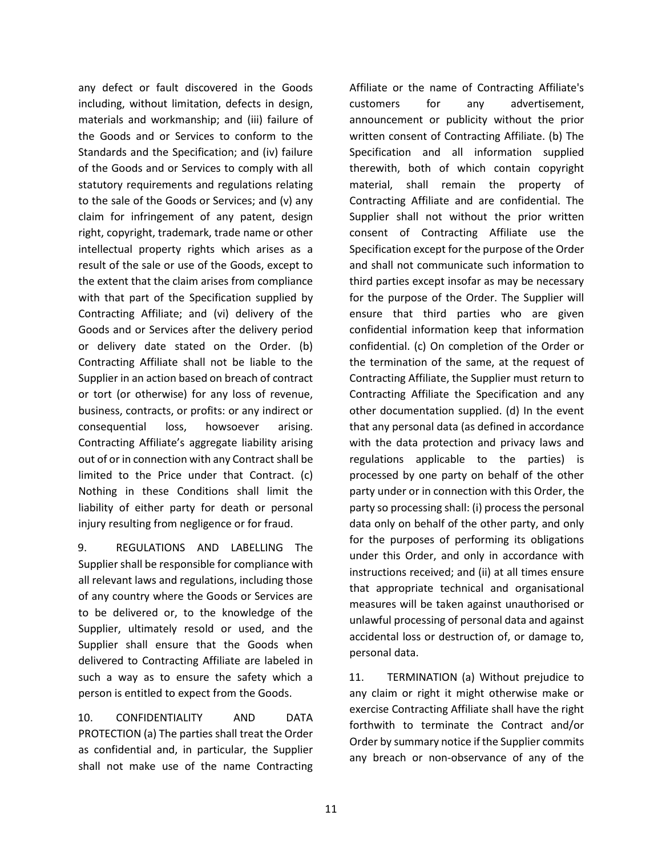any defect or fault discovered in the Goods including, without limitation, defects in design, materials and workmanship; and (iii) failure of the Goods and or Services to conform to the Standards and the Specification; and (iv) failure of the Goods and or Services to comply with all statutory requirements and regulations relating to the sale of the Goods or Services; and (v) any claim for infringement of any patent, design right, copyright, trademark, trade name or other intellectual property rights which arises as a result of the sale or use of the Goods, except to the extent that the claim arises from compliance with that part of the Specification supplied by Contracting Affiliate; and (vi) delivery of the Goods and or Services after the delivery period or delivery date stated on the Order. (b) Contracting Affiliate shall not be liable to the Supplier in an action based on breach of contract or tort (or otherwise) for any loss of revenue, business, contracts, or profits: or any indirect or consequential loss, howsoever arising. Contracting Affiliate's aggregate liability arising out of or in connection with any Contract shall be limited to the Price under that Contract. (c) Nothing in these Conditions shall limit the liability of either party for death or personal injury resulting from negligence or for fraud.

9. REGULATIONS AND LABELLING The Supplier shall be responsible for compliance with all relevant laws and regulations, including those of any country where the Goods or Services are to be delivered or, to the knowledge of the Supplier, ultimately resold or used, and the Supplier shall ensure that the Goods when delivered to Contracting Affiliate are labeled in such a way as to ensure the safety which a person is entitled to expect from the Goods.

10. CONFIDENTIALITY AND DATA PROTECTION (a) The parties shall treat the Order as confidential and, in particular, the Supplier shall not make use of the name Contracting Affiliate or the name of Contracting Affiliate's customers for any advertisement, announcement or publicity without the prior written consent of Contracting Affiliate. (b) The Specification and all information supplied therewith, both of which contain copyright material, shall remain the property of Contracting Affiliate and are confidential. The Supplier shall not without the prior written consent of Contracting Affiliate use the Specification except for the purpose of the Order and shall not communicate such information to third parties except insofar as may be necessary for the purpose of the Order. The Supplier will ensure that third parties who are given confidential information keep that information confidential. (c) On completion of the Order or the termination of the same, at the request of Contracting Affiliate, the Supplier must return to Contracting Affiliate the Specification and any other documentation supplied. (d) In the event that any personal data (as defined in accordance with the data protection and privacy laws and regulations applicable to the parties) is processed by one party on behalf of the other party under or in connection with this Order, the party so processing shall: (i) process the personal data only on behalf of the other party, and only for the purposes of performing its obligations under this Order, and only in accordance with instructions received; and (ii) at all times ensure that appropriate technical and organisational measures will be taken against unauthorised or unlawful processing of personal data and against accidental loss or destruction of, or damage to, personal data.

11. TERMINATION (a) Without prejudice to any claim or right it might otherwise make or exercise Contracting Affiliate shall have the right forthwith to terminate the Contract and/or Order by summary notice if the Supplier commits any breach or non-observance of any of the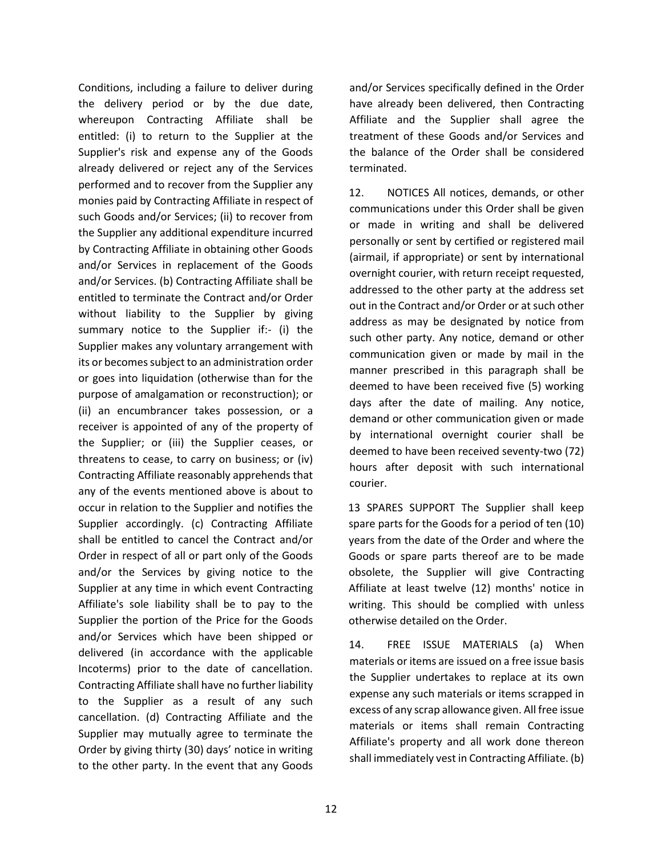Conditions, including a failure to deliver during the delivery period or by the due date, whereupon Contracting Affiliate shall be entitled: (i) to return to the Supplier at the Supplier's risk and expense any of the Goods already delivered or reject any of the Services performed and to recover from the Supplier any monies paid by Contracting Affiliate in respect of such Goods and/or Services; (ii) to recover from the Supplier any additional expenditure incurred by Contracting Affiliate in obtaining other Goods and/or Services in replacement of the Goods and/or Services. (b) Contracting Affiliate shall be entitled to terminate the Contract and/or Order without liability to the Supplier by giving summary notice to the Supplier if:- (i) the Supplier makes any voluntary arrangement with its or becomes subject to an administration order or goes into liquidation (otherwise than for the purpose of amalgamation or reconstruction); or (ii) an encumbrancer takes possession, or a receiver is appointed of any of the property of the Supplier; or (iii) the Supplier ceases, or threatens to cease, to carry on business; or (iv) Contracting Affiliate reasonably apprehends that any of the events mentioned above is about to occur in relation to the Supplier and notifies the Supplier accordingly. (c) Contracting Affiliate shall be entitled to cancel the Contract and/or Order in respect of all or part only of the Goods and/or the Services by giving notice to the Supplier at any time in which event Contracting Affiliate's sole liability shall be to pay to the Supplier the portion of the Price for the Goods and/or Services which have been shipped or delivered (in accordance with the applicable Incoterms) prior to the date of cancellation. Contracting Affiliate shall have no further liability to the Supplier as a result of any such cancellation. (d) Contracting Affiliate and the Supplier may mutually agree to terminate the Order by giving thirty (30) days' notice in writing to the other party. In the event that any Goods

and/or Services specifically defined in the Order have already been delivered, then Contracting Affiliate and the Supplier shall agree the treatment of these Goods and/or Services and the balance of the Order shall be considered terminated.

12. NOTICES All notices, demands, or other communications under this Order shall be given or made in writing and shall be delivered personally or sent by certified or registered mail (airmail, if appropriate) or sent by international overnight courier, with return receipt requested, addressed to the other party at the address set out in the Contract and/or Order or at such other address as may be designated by notice from such other party. Any notice, demand or other communication given or made by mail in the manner prescribed in this paragraph shall be deemed to have been received five (5) working days after the date of mailing. Any notice, demand or other communication given or made by international overnight courier shall be deemed to have been received seventy-two (72) hours after deposit with such international courier.

13 SPARES SUPPORT The Supplier shall keep spare parts for the Goods for a period of ten (10) years from the date of the Order and where the Goods or spare parts thereof are to be made obsolete, the Supplier will give Contracting Affiliate at least twelve (12) months' notice in writing. This should be complied with unless otherwise detailed on the Order.

14. FREE ISSUE MATERIALS (a) When materials or items are issued on a free issue basis the Supplier undertakes to replace at its own expense any such materials or items scrapped in excess of any scrap allowance given. All free issue materials or items shall remain Contracting Affiliate's property and all work done thereon shall immediately vest in Contracting Affiliate. (b)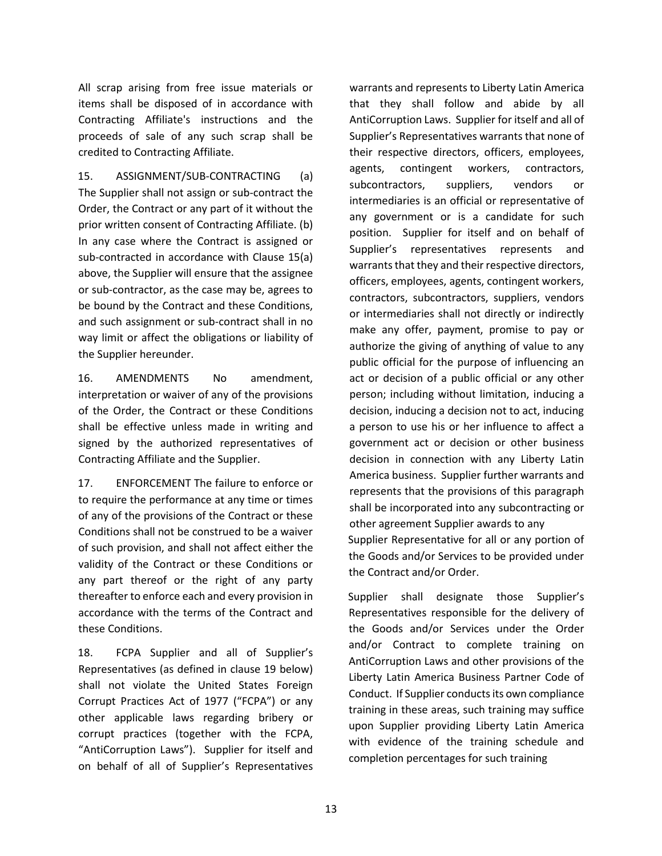All scrap arising from free issue materials or items shall be disposed of in accordance with Contracting Affiliate's instructions and the proceeds of sale of any such scrap shall be credited to Contracting Affiliate.

15. ASSIGNMENT/SUB-CONTRACTING (a) The Supplier shall not assign or sub-contract the Order, the Contract or any part of it without the prior written consent of Contracting Affiliate. (b) In any case where the Contract is assigned or sub-contracted in accordance with Clause 15(a) above, the Supplier will ensure that the assignee or sub-contractor, as the case may be, agrees to be bound by the Contract and these Conditions, and such assignment or sub-contract shall in no way limit or affect the obligations or liability of the Supplier hereunder.

16. AMENDMENTS No amendment, interpretation or waiver of any of the provisions of the Order, the Contract or these Conditions shall be effective unless made in writing and signed by the authorized representatives of Contracting Affiliate and the Supplier.

17. ENFORCEMENT The failure to enforce or to require the performance at any time or times of any of the provisions of the Contract or these Conditions shall not be construed to be a waiver of such provision, and shall not affect either the validity of the Contract or these Conditions or any part thereof or the right of any party thereafter to enforce each and every provision in accordance with the terms of the Contract and these Conditions.

18. FCPA Supplier and all of Supplier's Representatives (as defined in clause 19 below) shall not violate the United States Foreign Corrupt Practices Act of 1977 ("FCPA") or any other applicable laws regarding bribery or corrupt practices (together with the FCPA, "AntiCorruption Laws"). Supplier for itself and on behalf of all of Supplier's Representatives

warrants and represents to Liberty Latin America that they shall follow and abide by all AntiCorruption Laws. Supplier for itself and all of Supplier's Representatives warrants that none of their respective directors, officers, employees, agents, contingent workers, contractors, subcontractors, suppliers, vendors or intermediaries is an official or representative of any government or is a candidate for such position. Supplier for itself and on behalf of Supplier's representatives represents and warrants that they and their respective directors, officers, employees, agents, contingent workers, contractors, subcontractors, suppliers, vendors or intermediaries shall not directly or indirectly make any offer, payment, promise to pay or authorize the giving of anything of value to any public official for the purpose of influencing an act or decision of a public official or any other person; including without limitation, inducing a decision, inducing a decision not to act, inducing a person to use his or her influence to affect a government act or decision or other business decision in connection with any Liberty Latin America business. Supplier further warrants and represents that the provisions of this paragraph shall be incorporated into any subcontracting or other agreement Supplier awards to any Supplier Representative for all or any portion of the Goods and/or Services to be provided under the Contract and/or Order.

Supplier shall designate those Supplier's Representatives responsible for the delivery of the Goods and/or Services under the Order and/or Contract to complete training on AntiCorruption Laws and other provisions of the Liberty Latin America Business Partner Code of Conduct. If Supplier conducts its own compliance training in these areas, such training may suffice upon Supplier providing Liberty Latin America with evidence of the training schedule and completion percentages for such training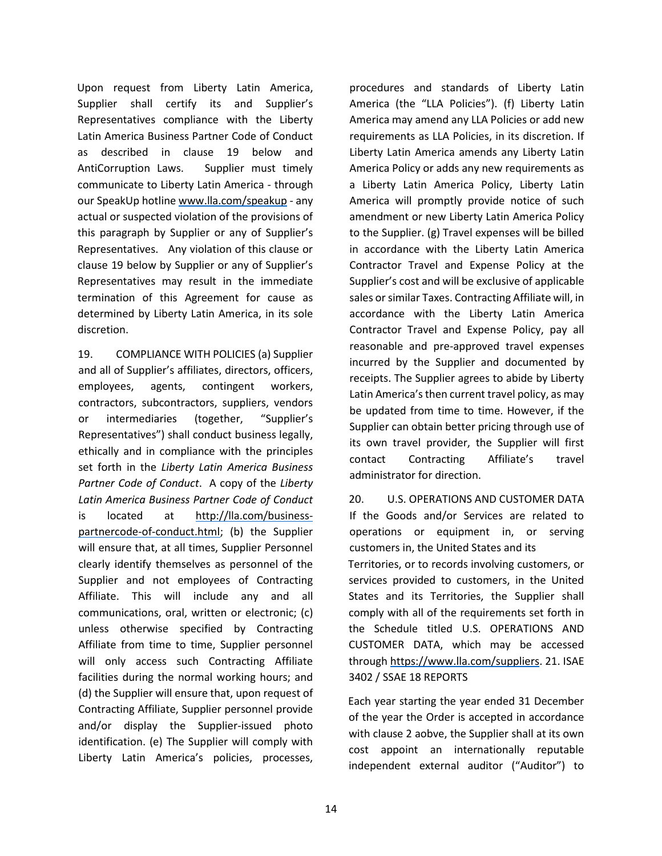Upon request from Liberty Latin America, Supplier shall certify its and Supplier's Representatives compliance with the Liberty Latin America Business Partner Code of Conduct as described in clause 19 below and AntiCorruption Laws. Supplier must timely communicate to Liberty Latin America - through our SpeakUp hotli[ne www.lla.com/speakup](http://www.lla.com/speakup) [-](http://www.lla.com/speakup) any actual or suspected violation of the provisions of this paragraph by Supplier or any of Supplier's Representatives. Any violation of this clause or clause 19 below by Supplier or any of Supplier's Representatives may result in the immediate termination of this Agreement for cause as determined by Liberty Latin America, in its sole discretion.

19. COMPLIANCE WITH POLICIES (a) Supplier and all of Supplier's affiliates, directors, officers, employees, agents, contingent workers, contractors, subcontractors, suppliers, vendors or intermediaries (together, "Supplier's Representatives") shall conduct business legally, ethically and in compliance with the principles set forth in the *Liberty Latin America Business Partner Code of Conduct*. A copy of the *Liberty Latin America Business Partner Code of Conduct* is located at [http://lla.com/business](http://lla.com/business-partner-code-of-conduct.html)[partnercode-of-conduct.html;](http://lla.com/business-partner-code-of-conduct.html) (b) the Supplier will ensure that, at all times, Supplier Personnel clearly identify themselves as personnel of the Supplier and not employees of Contracting Affiliate. This will include any and all communications, oral, written or electronic; (c) unless otherwise specified by Contracting Affiliate from time to time, Supplier personnel will only access such Contracting Affiliate facilities during the normal working hours; and (d) the Supplier will ensure that, upon request of Contracting Affiliate, Supplier personnel provide and/or display the Supplier-issued photo identification. (e) The Supplier will comply with Liberty Latin America's policies, processes,

procedures and standards of Liberty Latin America (the "LLA Policies"). (f) Liberty Latin America may amend any LLA Policies or add new requirements as LLA Policies, in its discretion. If Liberty Latin America amends any Liberty Latin America Policy or adds any new requirements as a Liberty Latin America Policy, Liberty Latin America will promptly provide notice of such amendment or new Liberty Latin America Policy to the Supplier. (g) Travel expenses will be billed in accordance with the Liberty Latin America Contractor Travel and Expense Policy at the Supplier's cost and will be exclusive of applicable sales or similar Taxes. Contracting Affiliate will, in accordance with the Liberty Latin America Contractor Travel and Expense Policy, pay all reasonable and pre-approved travel expenses incurred by the Supplier and documented by receipts. The Supplier agrees to abide by Liberty Latin America's then current travel policy, as may be updated from time to time. However, if the Supplier can obtain better pricing through use of its own travel provider, the Supplier will first contact Contracting Affiliate's travel administrator for direction.

20. U.S. OPERATIONS AND CUSTOMER DATA If the Goods and/or Services are related to operations or equipment in, or serving customers in, the United States and its Territories, or to records involving customers, or services provided to customers, in the United States and its Territories, the Supplier shall comply with all of the requirements set forth in the Schedule titled U.S. OPERATIONS AND CUSTOMER DATA, which may be accessed throug[h](https://www.lla.com/suppliers) [https://www.lla.com/suppliers.](https://www.lla.com/suppliers) 21. ISAE 3402 / SSAE 18 REPORTS

Each year starting the year ended 31 December of the year the Order is accepted in accordance with clause 2 aobve, the Supplier shall at its own cost appoint an internationally reputable independent external auditor ("Auditor") to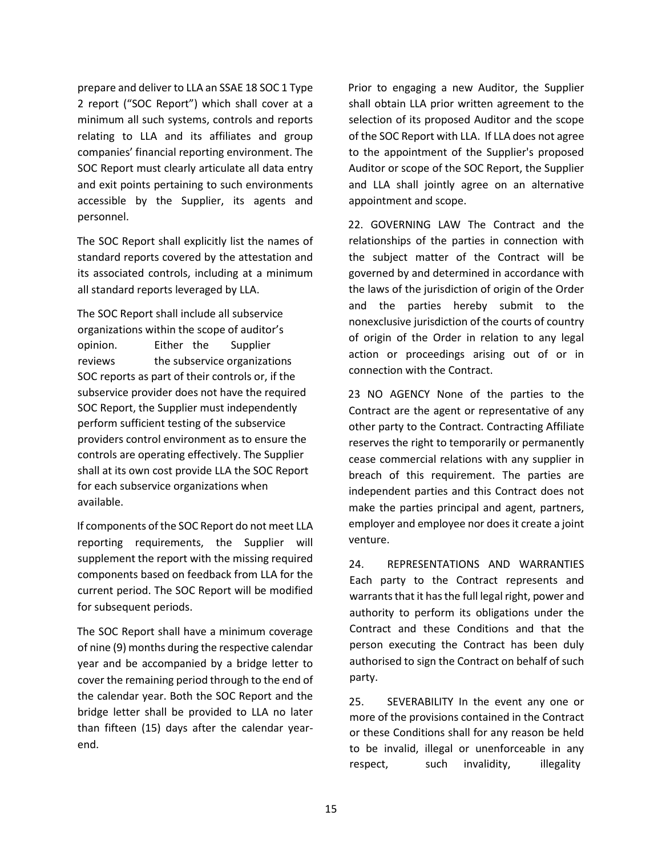prepare and deliver to LLA an SSAE 18 SOC 1 Type 2 report ("SOC Report") which shall cover at a minimum all such systems, controls and reports relating to LLA and its affiliates and group companies' financial reporting environment. The SOC Report must clearly articulate all data entry and exit points pertaining to such environments accessible by the Supplier, its agents and personnel.

The SOC Report shall explicitly list the names of standard reports covered by the attestation and its associated controls, including at a minimum all standard reports leveraged by LLA.

The SOC Report shall include all subservice organizations within the scope of auditor's opinion. Either the Supplier reviews the subservice organizations SOC reports as part of their controls or, if the subservice provider does not have the required SOC Report, the Supplier must independently perform sufficient testing of the subservice providers control environment as to ensure the controls are operating effectively. The Supplier shall at its own cost provide LLA the SOC Report for each subservice organizations when available.

If components of the SOC Report do not meet LLA reporting requirements, the Supplier will supplement the report with the missing required components based on feedback from LLA for the current period. The SOC Report will be modified for subsequent periods.

The SOC Report shall have a minimum coverage of nine (9) months during the respective calendar year and be accompanied by a bridge letter to cover the remaining period through to the end of the calendar year. Both the SOC Report and the bridge letter shall be provided to LLA no later than fifteen (15) days after the calendar yearend.

Prior to engaging a new Auditor, the Supplier shall obtain LLA prior written agreement to the selection of its proposed Auditor and the scope of the SOC Report with LLA. If LLA does not agree to the appointment of the Supplier's proposed Auditor or scope of the SOC Report, the Supplier and LLA shall jointly agree on an alternative appointment and scope.

22. GOVERNING LAW The Contract and the relationships of the parties in connection with the subject matter of the Contract will be governed by and determined in accordance with the laws of the jurisdiction of origin of the Order and the parties hereby submit to the nonexclusive jurisdiction of the courts of country of origin of the Order in relation to any legal action or proceedings arising out of or in connection with the Contract.

23 NO AGENCY None of the parties to the Contract are the agent or representative of any other party to the Contract. Contracting Affiliate reserves the right to temporarily or permanently cease commercial relations with any supplier in breach of this requirement. The parties are independent parties and this Contract does not make the parties principal and agent, partners, employer and employee nor does it create a joint venture.

24. REPRESENTATIONS AND WARRANTIES Each party to the Contract represents and warrants that it has the full legal right, power and authority to perform its obligations under the Contract and these Conditions and that the person executing the Contract has been duly authorised to sign the Contract on behalf of such party.

25. SEVERABILITY In the event any one or more of the provisions contained in the Contract or these Conditions shall for any reason be held to be invalid, illegal or unenforceable in any respect, such invalidity, illegality